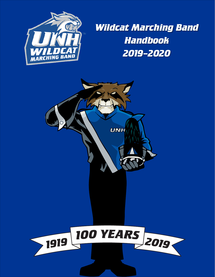

*Wildcat Marching Band Handbook 2019–2020*

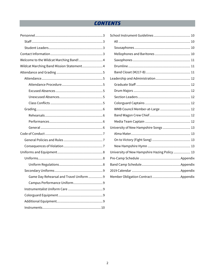# **CONTENTS**

| Welcome to the Wildcat Marching Band! 4   |  |
|-------------------------------------------|--|
| Wildcat Marching Band Mission Statement 4 |  |
|                                           |  |
|                                           |  |
|                                           |  |
|                                           |  |
|                                           |  |
|                                           |  |
|                                           |  |
|                                           |  |
|                                           |  |
|                                           |  |
|                                           |  |
|                                           |  |
|                                           |  |
|                                           |  |
|                                           |  |
|                                           |  |
|                                           |  |
| Game Day Rehearsal and Travel Uniform  9  |  |
|                                           |  |
|                                           |  |
|                                           |  |
|                                           |  |
|                                           |  |

| WMB Council Member-at-Large  12               |  |
|-----------------------------------------------|--|
|                                               |  |
|                                               |  |
| University of New Hampshire Songs  13         |  |
|                                               |  |
|                                               |  |
|                                               |  |
| University of New Hampshire Hazing Policy  13 |  |
|                                               |  |
|                                               |  |
|                                               |  |
|                                               |  |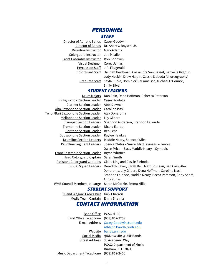## *PERSONNEL*

#### *STAFF*

<span id="page-2-1"></span><span id="page-2-0"></span>

| Director of Athletic Bands Casey Goodwin |                                                                           |
|------------------------------------------|---------------------------------------------------------------------------|
|                                          | Director of Bands Dr. Andrew Boysen, Jr.                                  |
| Drumline Instructor Mark Adams           |                                                                           |
| Colorguard Instructor Joe Meallo         |                                                                           |
| Front Ensemble Instructor Ron Goodwin    |                                                                           |
| Visual Designer Corey Jahlas             |                                                                           |
| Percussion Staff J.R. Fitzgerald         |                                                                           |
|                                          | Colorguard Staff Hannah Heidtman, Cassandra Van Dessel, Denyelle Kilgour, |
|                                          | Judy Hoskin, Drew Halpin, Cassie Sleboda (choreography)                   |
|                                          | Graduate Staff Kayla Burke, Dominick DeFrancisco, Michael O'Connor,       |
|                                          | <b>Emily Silva</b>                                                        |

#### *STUDENT LEADERS*

<span id="page-2-2"></span>

| Drum Majors                                 | Dan Cain, Dena Hoffman, Rebecca Paterson                   |
|---------------------------------------------|------------------------------------------------------------|
| <b>Flute/Piccolo Section Leader</b>         | Casey Koulalis                                             |
| <b>Clarinet Section Leader</b>              | Abbi Downer                                                |
| <u> Alto Saxophone Section Leader</u>       | Caroline Isasi                                             |
| <u> Tenor/Bari Saxophone Section Leader</u> | Alex Donaruma                                              |
| <u>Mellophone Section Leader</u>            | Lily Gilbert                                               |
| <b>Trumpet Section Leaders</b>              | Shannon Anderson, Brandon LaLonde                          |
| Trombone Section Leader                     | Nicola Elardo                                              |
| Baritone Section Leader                     | Ben Fehr                                                   |
| Sousaphone Section Leader                   | Kaylee Hawkes                                              |
| <u><b>Drumline Section Leaders</b></u>      | Maddie Neary, Spencer Wiles                                |
| <u><b>Drumline Segment Leaders</b></u>      | Spencer Wiles - Snare, Matt Bruneau - Tenors,              |
|                                             | Owen Price – Bass, Maddie Neary – Cymbals                  |
| <b>Front Ensemble Section Leader</b>        | <b>Bryan Whittier</b>                                      |
| <u>Head Colorguard Captain</u>              | Sarah Smith                                                |
| <b>Assistant Colorguard Captains</b>        | Claire Ling and Cassie Sleboda                             |
| <u>Visual Squad Leaders</u>                 | Meredith Baker, Sarah Bell, Matt Bruneau, Dan Cain, Alex   |
|                                             | Donaruma, Lily Gilbert, Dena Hoffman, Caroline Isasi,      |
|                                             | Brandon Lalonde, Maddie Neary, Becca Paterson, Cody Short, |
|                                             | Anna Yuhas                                                 |

<span id="page-2-3"></span>WMB Council Members-at-Large Sarah McCorkle, Emma Miller

#### *STUDENT SUPPORT*

"Band Wagon" Crew Chief Nick Charron Media Team Captain Emily Shafritz

#### *CONTACT INFORMATION*

Band Office PCAC M108 Band Office Telephone (603) 862-3259 E-mail Address [Casey.Goodwin@unh.edu](mailto:Casey.Goodwin@unh.edu) [Athletic.Bands@unh.edu](mailto:Athletic.Bands@unh.edu) Website [bands.unh.edu](http://bands.unh.edu/) Social Media @UNHWMB; @UNHBands Street Address 30 Academic Way PCAC: Department of Music Durham, NH 03824 Music Department Telephone (603) 862-2400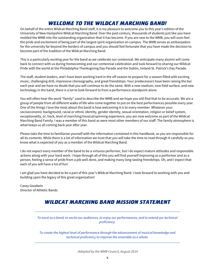# *WELCOME TO THE WILDCAT MARCHING BAND!*

<span id="page-3-0"></span>On behalf of the entire Wildcat Marching Band staff, it is my pleasure to welcome you to this year's edition of the University of New Hampshire Wildcat Marching Band. Over the past century, thousands of students just like you have molded the WMB into the outstanding organization that it has become. If you are new to the WMB, you will soon feel the pride and excitement of being part of the largest spirit organization on campus. The WMB serves as ambassadors for the university far beyond the borders of campus and you should feel fortunate that you have made the decision to become part of the tradition of the Wildcat Marching Band.

This is a particularly exciting year for the band as we celebrate our centennial. We anticipate many alumni will come back to connect with us during Homecoming and our centennial celebration and look forward to sharing our Wildcat Pride with the world at the Philadelphia Thanksgiving Day Parade and the Dublin, Ireland St. Patrick's Day Parade.

The staff, student leaders, and I have been working hard in the off-season to prepare for a season filled with exciting music, challenging drill, impressive choreography, and great friendships. Your predecessors have been raising the bar each year and we have no doubt that you will continue to do the same. With a new stadium, new field surface, and new technology in the band, there is a lot to look forward to from a performance standpoint alone.

You will often hear the word "family" used to describe the WMB and we hope you will find that to be accurate. We are a group of people from all different walks of life who come together to put on the best performances possible every year. One of the things I love the most about this band is how welcoming it is to every member. Whatever your socioeconomic background, racial or ethnic identity, gender identity, sexual orientation, religion or belief system, exceptionality, or, heck, level of marching/musical/spinning experience, you are now welcome as part of the Wildcat Marching Band Family. I was a member of this band as were most other members of our staff. The family atmosphere is what keeps us all coming back year after year.

Please take the time to familiarize yourself with the information contained in this handbook, as you are responsible for all its contents. While there is a lot of information we trust that you will take the time to read through it carefully so you know what is expected of you as a member of the Wildcat Marching Band.

I do not expect every member of the band to be a virtuoso performer, but I do expect mature attitudes and responsible actions along with your hard work. I hope through all of this you will find yourself improving as a performer and as a person, feeling a sense of pride from a job well done, and making many long-lasting friendships. Oh, and I expect that each of you will have a lot of fun!

I am glad you have decided to be a part of this year's Wildcat Marching Band. I look forward to working with you and building upon the legacy of this great organization!

<span id="page-3-1"></span>Casey Goodwin Director of Athletic Bands

# *WILDCAT MARCHING BAND MISSION STATEMENT*

*To excel as a band, to excite our audiences, to enjoy our performances, and to extend our technical proficiency.*

*[To create the highest level of performance through the advancement of musical knowledge and](https://www.facebook.com/groups/WMBCouncil/permalink/10152704074614801/) [technical proficiency to improve the ensemble as a whole.](https://www.facebook.com/groups/WMBCouncil/permalink/10152704074614801/)*

*-Adopted by the WMB Council, August 2014*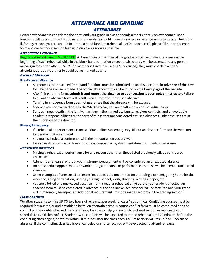# *ATTENDANCE AND GRADING*

### *ATTENDANCE*

<span id="page-4-1"></span><span id="page-4-0"></span>Perfect attendance is considered the norm and your grade in class depends almost entirely on attendance. Band functions will be announced in advance, and members should make the necessary arrangements to be at all functions. If, for any reason, you are unable to attend a band function (rehearsal, performance, etc.), please fill out an absence form and contact your section leader/instructor as soon as possible.

#### <span id="page-4-2"></span>*Attendance Procedure*

Regular rehearsals are 6:15 to 8:15 PM. A drum major or member of the graduate staff will take attendance at the beginning of each rehearsal while in the block band formation or sectionals. A tardy will be assessed to any person arriving in formation after 6:15 PM. If a member is tardy (excused OR unexcused), they must check in with the attendance graduate staffer to avoid being marked absent.

#### <span id="page-4-3"></span>*Excused Absences*

#### **Pre-Excused Absence**

- All requests to be excused from band functions must be submitted on an absence form **in advance of the date** for which the excuse is made. The official absence form can be found on the forms page of the website.
- After filling out the form, **submit it and report the absence to your section leader and/or instructor**. Failure to fill out an absence form will result in an automatic unexcused absence.
- Turning in an absence form does not guarantee that the absence will be excused.
- Absences can be excused only by the WMB director, and are dealt with on an individual basis.
- Serious illness, death in the family, marriage in the immediate family, religious conflicts, and unavoidable academic responsibilities are the sorts of things that are considered excused absences. Other excuses are at the discretion of the director.

#### **Illness/Emergency**

- If a rehearsal or performance is missed due to illness or emergency, fill out an absence form (on the website) for the day that was missed
- You must schedule a conference with the director when you are well.
- Excessive absence due to illness must be accompanied by documentation from medical personnel.

#### <span id="page-4-4"></span>*Unexcused Absences*

- Missing a rehearsal or performance for any reason other than those listed previously will be considered unexcused.
- Attending a rehearsal without your instrument/equipment will be considered an unexcused absence.
- Do not schedule appointments or work during a rehearsal or performance, as these will be deemed unexcused absences.
- Other examples of unexcused absences include but are not limited to: attending a concert, going home for the weekend, going on vacation, visiting your high school, work, studying, writing a paper, etc.
- You are allotted one unexcused absence (from a regular rehearsal only) before your grade is affected. An absence form must be completed in advance or the one unexcused absence will be forfeited and your grade will immediately be impacted. Additional requirements must be met as set forth in the grading section.

#### <span id="page-4-5"></span>*Class Conflicts*

We allow students to miss UP TO two hours of rehearsal per week for class/lab conflicts. Conflicting courses must be required for your major and not able to be taken at another time. A course conflict form must be completed and the conflict will be double-checked. Band staff may be able to help you switch to a closed section or rearrange your schedule to avoid the conflict. Students with conflicts will be expected to attend rehearsal until 20 minutes before the conflicting class begins, or return within 20 minutes after the class ends. Failure to do so will result in an unexcused absence. If the conflicting class/lab is ever canceled or shortened, you will be expected to attend rehearsal.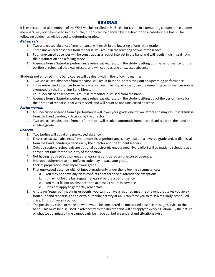## *GRADING*

<span id="page-5-0"></span>It is expected that all members of the WMB will be enrolled in MUSI 454 for credit. In extenuating circumstances, some members may not be enrolled in the course, but this will be decided by the director on a case-by-case basis. The following guidelines will be used to determine grades:

#### <span id="page-5-1"></span>*Rehearsals*

- 1. Two unexcused absences from rehearsal will result in the lowering of one letter grade.
- 2. Three unexcused absences from rehearsal will result in the lowering of two letter grades.
- 3. Four unexcused absences will be construed as a lack of interest in the band and will result in dismissal from the organization and a failing grade.
- 4. Absence from a Saturday performance rehearsal will result in the student sitting out the performance for the portion of rehearsal that was missed, and will count as one unexcused absence.

Students not enrolled in the band course will be dealt with in the following manner:

- 1. Two unexcused absences from rehearsal will result in the student sitting out an upcoming performance.
- 2. Three unexcused absences from rehearsal will result in no participation in the remaining performances unless exempted by the Marching Band Director.
- 3. Four unexcused absences will result in immediate dismissal from the band.
- 4. Absence from a Saturday performance rehearsal will result in the student sitting out of the performance for the portion of rehearsal that was missed, and will count as one unexcused absence.

#### <span id="page-5-2"></span>*Performances*

- 1. An unexcused absence from a performance will lower your grade one to two letters and may result in dismissal from the band pending a decision by the director.
- 2. Two unexcused absences from performances will result in automatic immediate dismissal from the band and a failing grade.

#### <span id="page-5-3"></span>*General*

- 1. Two tardies will equal one unexcused absence.
- 2. Excessive excused absences from rehearsals or performances may result in a lowered grade and/or dismissal from the band, pending a decision by the director and the student leaders.
- 3. Outside sectional rehearsals are optional but strongly encouraged. Every effort will be made to schedule at a convenient time for the majority of the section.
- 4. Not having required equipment at rehearsal is considered an unexcused absence.
- 5. Improper adherence to the uniform code may impact your grade.
- 6. Lack of preparation may impact your grade.
- 7. First unexcused absence will not impact grade only under the following circumstances:
	- a. You may not have any class conflicts or other special attendance exceptions
	- b. It may not be the last regular rehearsal before a performance
	- c. You must fill out an absence form at least 24 hours in advance
	- d. Does not apply to game day rehearsals
- 8. A note on "required" meetings or events: you cannot have a required meeting or event that takes you away from our band rehearsals as no extra-curricular activity at UNH can force you to miss a regularly-scheduled class. This is university policy.
- 9. The possibility exists to make up what would be considered an unexcused absence through service to the band. This must be discussed in advance with the director and will not apply to every situation. By the nature of what we do, missed time cannot truly be made up, but we understand situations exist.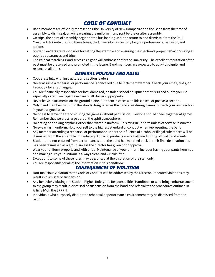# *CODE OF CONDUCT*

- <span id="page-6-0"></span>• Band members are officially representing the University of New Hampshire and the Band from the time of assembly to dismissal, or while wearing the uniform in any part before or after assembly.
- On trips, the point of assembly begins at the bus loading until the return to and dismissal from the Paul Creative Arts Center. During these times, the University has custody for your performance, behavior, and actions.
- Student leaders are responsible for setting the example and ensuring their section's proper behavior during all public appearances and trips.
- The Wildcat Marching Band serves as a goodwill ambassador for the University. The excellent reputation of the past must be preserved and promoted in the future. Band members are expected to act with dignity and respect at all times.

## *GENERAL POLICIES AND RULES*

- <span id="page-6-1"></span>• Cooperate fully with instructors and section leaders
- Never assume a rehearsal or performance is cancelled due to inclement weather. Check your email, texts, or Facebook for any changes.
- You are financially responsible for lost, damaged, or stolen school equipment that is signed out to you. Be especially careful on trips. Take care of all University property.
- Never leave instruments on the ground alone. Put them in cases with lids closed, or post as a section.
- Only band members will sit in the stands designated as the band area during games. Sit with your own section in your assigned area.
- No one is to leave the stands during the games without permission. Everyone should cheer together at games. Remember that we are a large part of the spirit atmosphere.
- No eating or drinking anything other than water in uniform. No sitting in uniform unless otherwise instructed.
- No swearing in uniform. Hold yourself to the highest standard of conduct when representing the band.
- Any member attending a rehearsal or performance under the influence of alcohol or illegal substances will be dismissed from the ensemble immediately. Tobacco products are not allowed during official band events.
- Students are not excused from performances until the band has marched back to their final destination and has been dismissed as a group, unless the director has given prior approval.
- Wear your uniform properly and with pride. Maintenance of your uniform includes having your pants hemmed and making sure your uniform is always clean and wrinkle-free.
- Exceptions to some of these rules may be granted at the discretion of the staff only.
- <span id="page-6-2"></span>• You are responsible for all of the information in this handbook.

## *CONSEQUENCES OF VIOLATION*

- Non-malicious violation to the Code of Conduct will be addressed by the Director. Repeated violations may result in dismissal or suspension.
- Any behavior violating the Student Rights, Rules, and Responsibilities Handbook or who bring embarrassment to the group may result in dismissal or suspension from the band and referral to the procedures outlined in Article IV off the SRRRH.
- Individuals who purposely disrupt the rehearsal or performance environment may be dismissed from the band.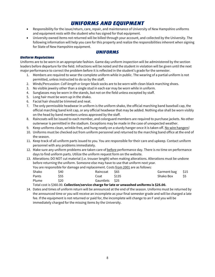# *UNIFORMS AND EQUIPMENT*

- <span id="page-7-0"></span>• Responsibility for the issue/return, care, repair, and maintenance of University of New Hampshire uniforms and equipment rests with the student who has signed for that equipment.
- University owned items not returned will be billed through your account, and collected by the University. The following information will help you care for this property and realize the responsibilities inherent when signing for State of New Hampshire equipment.

#### *UNIFORMS*

#### <span id="page-7-2"></span><span id="page-7-1"></span>*Uniform Regulations*

Uniforms are to be worn in an appropriate fashion. Game day uniform inspection will be administered by the section leaders before departure for the field. Infractions will be noted and the student in violation will be given until the next major performance to correct the problem before it is reflected in the student's grade for the semester.

- 1. Members are required to wear the complete uniform while in public. The wearing of a partial uniform is not permitted, unless instructed to do so by the staff.
- 2. Winds/Percussion: *Calf-length or longer* black socks are to be worn with clean black marching shoes.
- 3. No visible jewelry other than a single stud in each ear may be worn while in uniform.
- 4. Sunglasses may be worn in the stands, but not on the field unless excepted by staff.
- 5. Long hair must be worn up in the shako.
- 6. Facial hair should be trimmed and neat.
- 7. The only permissible headwear in uniform is the uniform shako, the official marching band baseball cap, the official marching band knit cap, or any official headwear that may be added. Nothing else shall be worn visibly on the head by band members unless approved by the staff.
- 8. Raincoats will be issued to each member, and colorguard members are required to purchase jackets. No other outerwear is permitted in the stadium. Exceptions may be made in the case of unexpected weather.
- 9. Keep uniforms clean, wrinkle-free, and hung neatly on a sturdy hanger once it is taken off. No wire hangers!
- 10. Uniforms must be checked out from uniform personnel and returned to the marching band office at the end of the season.
- 11. Keep track of all uniform parts issued to you. You are responsible for their care and upkeep. Contact uniform personnel with any problems immediately.
- 12. Make sure any uniform problems are taken care of before performance day. There is no time on performance days to find uniform parts. Utilize the uniform request form on the website.
- 13. Alterations: DO NOT cut material (i.e. trouser length) when making alterations. Alterations must be undone before returning the uniform. Someone else may have to use that uniform next year.

You are responsible for damage and replacement. Costs from 2001 are as follows:

| Shako | S40  | Raincoat \$65 |       | Garment bag \$15 |  |
|-------|------|---------------|-------|------------------|--|
| Pants | \$55 | Coat          | \$135 |                  |  |
| Plume | \$20 | Gauntlets S25 |       |                  |  |

Total cost is \$360.00. **Collection/service charge for late or unwashed uniforms is \$25.00.**

14. Dates and times of uniform return will be announced at the end of the season. Uniforms must be returned by the announced time or you will receive an incomplete as your final semester grade and will be charged a late fee. If the equipment is not returned or paid for, the incomplete will change to an F and you will be immediately charged for the missing items by the University.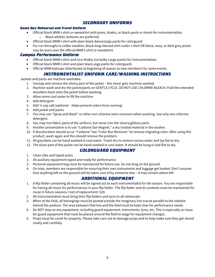## *SECONDARY UNIFORMS*

#### <span id="page-8-1"></span><span id="page-8-0"></span>*Game Day Rehearsal and Travel Uniform*

- Official black WMB t-shirt or sweatshirt with jeans, khakis, or black pants or shorts for instrumentalists o Black athletic bottoms are preferred.
- Official black WMB t-shirt with plain black dance/yoga pants for colorguard
- For run-throughs in colder weather, black long-sleeved shirt under t-shirt OR black, navy, or dark grey jacket may be worn over the official WMB t-shirt or sweatshirt.

#### <span id="page-8-2"></span>*Campus Performance Uniform*

- Official black WMB t-shirt and nice khakis (no bulky cargo pants) for instrumentalists.
- Official black WMB t-shirt and plain black yoga pants for colorguard.
- Official WMB ballcaps (distributed at beginning of season to new members) for some events.

#### *INSTRUMENTALIST UNIFORM CARE/WASHING INSTRUCTIONS*

<span id="page-8-3"></span>Jackets and pants are machine washable.

- 1. Unsnap and remove the silvery part of the jacket this never gets machine-washed.
- 2. Machine-wash and dry the jacket/pants on GENTLE CYCLE. DO NOT USE CHLORINE BLEACH. Fold the extended shoulders back onto the jacket before washing.
- 3. Allow some cool water to fill the machine
- 4. Add detergent
- 5. Add ¼ cup salt (optional helps prevent colors from running)
- 6. Add jacket and pants
- 7. You may use "Spray and Wash" or other non-chlorine stain removers when washing. Use only non-chlorine detergent.
- 8. You may iron fabric parts of the uniform, but never iron the silvery/glittery parts.
- 9. Another preventative is to use "Carbona Dye Magnet," a dry treated material in the washer.
- 10. If discoloration should occur "Carbona" has "Color Run Remover" to remove migrating color. After using this product, wash again and this should remove the problem.
- 11. All gauntlets can be hand washed in cool water. Towel dry to remove excess water and lay flat to dry.
- <span id="page-8-4"></span>12. The silver part of the jacket can be hand-washed in cool water. It should be hung or laid flat to dry.

## *COLORGUARD EQUIPMENT*

- 1. Clean silks and taped poles.
- 2. All auxiliary equipment taped and ready for performance.
- 3. Personal equipment bag must be maintained for future use. Do not drag on the ground.
- 4. On trips, members are responsible for ensuring their own instruments and luggage get loaded. Don't assume that anything left on the ground will be taken care of by someone else – it may remain where left

#### *ADDITIONAL EQUIPMENT*

- <span id="page-8-5"></span>1. A flip folder containing all music will be signed out to each instrumentalist for the season. You are responsible for having all music for performances in your flip folder. The flip folder and its contents must be maintained for reuse in future seasons. Cost of replacement: \$20.
- 2. All instrumentalists must bring their flip folders and lyres to all rehearsals.
- 3. When at the field, all belongings must be posted outside the imaginary line traced parallel to the sideline behind the podium. The area between that line and the field must be kept clear for performance needs.
- 4. Do NOT step on any equipment, including guard equipment, instruments, lyres, etc. This is especially an issue for guard equipment that must be placed around the field to stage for equipment changes.
- 5. Props must be cared for properly. Please take care not to damage props and to help make sure they get stored neatly and carefully.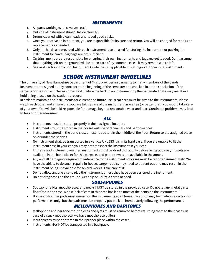#### *INSTRUMENTS*

- <span id="page-9-0"></span>1. All parts working (slides, valves, etc.).
- 2. Outside of instrument shined. Inside cleaned.
- 3. Drums cleaned with clean heads and taped good sticks.
- 4. Once you receive an instrument, you are responsible for its care and return. You will be charged for repairs or replacements as needed.
- 5. Only the hard case provided with each instrument is to be used for storing the instrument or packing the instrument for travel. Gig bags are not sufficient.
- 6. On trips, members are responsible for ensuring their own instruments and luggage get loaded. Don't assume that anything left on the ground will be taken care of by someone else – it may remain where left.
- <span id="page-9-1"></span>7. See next section for School Instrument Guidelines as applicable. It's also good for personal instruments.

# *SCHOOL INSTRUMENT GUIDELINES*

The University of New Hampshire Department of Music provides instruments to many members of the bands. Instruments are signed out by contract at the beginning of the semester and checked in at the conclusion of the semester or season, whichever comes first. Failure to check in an instrument by the designated date may result in a hold being placed on the student's record.

In order to maintain the instruments for current and future use, great care must be given to the instruments. Please watch each other and ensure that you are taking care of the instrument as well as (or better than) you would take care of your own. You will be held responsible for damage beyond reasonable wear and tear. Continued problems may lead to fees or other measures.

#### *ALL*

- <span id="page-9-2"></span>• Instruments must be stored properly in their assigned location.
- Instruments must be stored in their cases outside of rehearsals and performances.
- Instruments stored in the band closet must not be left in the middle of the floor. Return to the assigned place on or under the shelves.
- No instrument shall be transported in a vehicle UNLESS it is in its hard case. If you are unable to fit the instrument case in your car, you may not transport the instrument in your car.
- In the case of inclement weather, instruments must be dried thoroughly before being put away. Towels are available in the band closet for this purpose, and paper towels are available in the annex.
- Any and all damage or required maintenance to the instruments or cases must be reported immediately. We have the ability to do small repairs in-house. Larger repairs may need to be sent out and may result in the instrument being unavailable for several weeks. Take care of it!
- Do not allow anyone else to play the instrument unless they have been assigned the instrument.
- <span id="page-9-3"></span>• Do not drag cases on the ground. Get help or utilize a cart if needed.

#### *SOUSAPHONES*

- Sousaphone bits, mouthpieces, and necks MUST be stored in the provided case. Do not let any metal parts float free in the case. A past lack of care in this area has led to most of the dents on the instruments.
- Bow and shoulder pads must remain on the instruments at all times. Exception may be made as a section for performances only, but the pads must be properly put back on immediately following the performance.

## *MELLOPHONES AND BARITONES*

- <span id="page-9-4"></span>• Mellophone and baritone mouthpieces and lyres must be removed before returning them to their cases. In case of a stuck mouthpiece, we have mouthpiece pullers.
- Mouthpieces must be stored in their proper place within the cases.
- Instruments MAY NOT be transported in a backpack.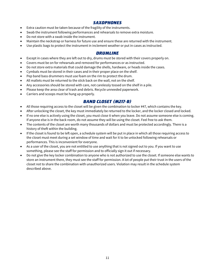#### *SAXOPHONES*

- <span id="page-10-0"></span>• Extra caution must be taken because of the fragility of the instruments.
- Swab the instrument following performances and rehearsals to remove extra moisture.
- Do not store with a swab inside the instrument.
- Maintain the neckstrap or harness for future use and ensure these are returned with the instrument.
- Use plastic bags to protect the instrument in inclement weather or put in cases as instructed.

## *DRUMLINE*

- <span id="page-10-1"></span>• Except in cases where they are left out to dry, drums must be stored with their covers properly on.
- Covers must be on for rehearsals and removed for performances or as instructed.
- Do not store extra materials that could damage the shells, hardware, or heads inside the cases.
- Cymbals must be stored in their cases and in their proper place on the shelf.
- Pep band bass drummers must use foam on the rim to protect the drum.
- All mallets must be returned to the stick back on the wall, not on the shelf.
- Any accessories should be stored with care, not carelessly tossed on the shelf in a pile.
- Please keep the area clear of trash and debris. Recycle unneeded paperwork.
- Carriers and scoops must be hung up properly.

## *BAND CLOSET (M217-B)*

- <span id="page-10-2"></span>• All those requiring access to the closet will be given the combination to locker #47, which contains the key.
- After unlocking the closet, the key must immediately be returned to the locker, and the locker closed and locked.
- If no one else is actively using the closet, you must close it when you leave. Do not assume someone else is coming. If anyone else is in the back room, do not assume they will be using the closet. Feel free to ask them.
- The contents of the closet are worth many thousands of dollars and must be protected accordingly. There is a history of theft within the building.
- If the closet is found to be left open, a schedule system will be put in place in which all those requiring access to the closet must meet during a set window of time and wait for it to be unlocked following rehearsals or performances. This is inconvenient for everyone.
- As a user of the closet, you are not entitled to use anything that is not signed out to you. If you want to use something, please see the staff for permission and to officially sign it out if necessary.
- Do not give the key locker combination to anyone who is not authorized to use the closet. If someone else wants to store an instrument there, they must see the staff for permission. A lot of people put their trust in the users of the closet not to share the combination with unauthorized users. Violation may result in the schedule system described above.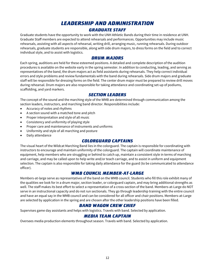# *LEADERSHIP AND ADMINISTRATION GRADUATE STAFF*

<span id="page-11-1"></span><span id="page-11-0"></span>Graduate students have the opportunity to work with the UNH Athletic Bands during their time in residence at UNH. Graduate Staff members are expected to attend rehearsals and performances. Opportunities may include music rehearsals, assisting with all aspects of rehearsal, writing drill, arranging music, running rehearsals. During outdoor rehearsals, graduate students are responsible, along with side drum majors, to dress forms on the field and to correct individual style, and to assist with logistics.

#### *DRUM MAJORS*

<span id="page-11-2"></span>Each spring, auditions are held for these esteemed positions. A detailed and complete description of the audition procedures is available on the website early in the spring semester. In addition to conducting, leading, and serving as representatives of the band, the drum majors act as field assistants during rehearsals. They help correct individual errors and style problems and review fundamentals with the band during rehearsals. Side drum majors and graduate staff will be responsible for dressing forms on the field. The center drum major must be prepared to review drill moves during rehearsal. Drum majors are also responsible for taking attendance and coordinating set-up of podiums, scaffolding, and yard markers.

#### *SECTION LEADERS*

<span id="page-11-3"></span>The concept of the sound and the marching style of the WMB are determined through communication among the section leaders, instructors, and marching band director. Responsibilities include:

- Accuracy of notes and rhythms
- A section sound with a matched tone and pitch
- Proper interpretation and style of all music
- Consistency and uniformity of playing style
- Proper care and maintenance of instruments and uniforms
- Uniformity and style of all marching and posture
- <span id="page-11-4"></span>• Daily attendance

## *COLORGUARD CAPTAINS*

The visual heart of the Wildcat Marching Band lies in the colorguard. The captain is responsible for coordinating with instructors to encourage and maintain uniformity of the colorguard. The captain will coordinate maintenance of equipment, help members who are struggling or behind to catch up, maintain a consistent style in terms of marching and carriage, and may be called upon to help write and/or teach carriage, and to assist in uniform and equipment selection. The captain is also responsible for taking daily attendance for the guard (to be communicated to attendance officer).

#### *WMB COUNCIL MEMBER-AT-LARGE*

<span id="page-11-5"></span>Members-at-large serve as representatives of the band on the WMB council. Students who fill this role exhibit many of the qualities we look for in a drum major, section leader, or colorguard captain, and may bring additional strengths as well. The staff makes its best effort to select a representation of a cross-section of the band. Members-at-Large do NOT serve in an instructional capacity and do not run sectionals. They go through leadership training with the entire council and have an equal say in the WMB council and can be considered for all officer and chair positions. Members-at-Large are selected by application in the spring and are chosen after the other leadership positions have been filled.

#### *BAND WAGON CREW CHIEF*

<span id="page-11-7"></span><span id="page-11-6"></span>Supervises game day assistants and helps with logistics. Travels with band. Selected by application.

## *MEDIA TEAM CAPTAIN*

Oversees media production elements throughout season. Travels with band. Selected by application.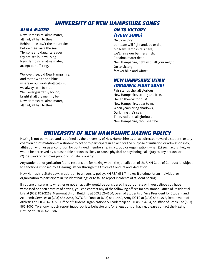# *UNIVERSITY OF NEW HAMPSHIRE SONGS*

#### <span id="page-12-1"></span><span id="page-12-0"></span>*ALMA MATER*

New Hampshire, alma mater, all hail, all hail to thee! Behind thee tow'r the mountains, before thee roars the sea. Thy sons and daughters ever thy praises loud will sing. New Hampshire, alma mater, accept our offering.

We love thee, old New Hampshire, and to the white and blue, where'er our work shall call us, we always will be true. We'll ever guard thy honor, bright shall thy mem'ry be. New Hampshire, alma mater, all hail, all hail to thee!

# <span id="page-12-2"></span>*ON TO VICTORY (FIGHT SONG)*

On to victory, our team will fight and, do or die, old New Hampshire's here, we'll raise our banners high. For alma mater dear, New Hampshire, fight with all your might! On to victory, forever blue and white!

## <span id="page-12-3"></span>*NEW HAMPSHIRE HYMN (ORIGINAL FIGHT SONG)*

Fair stands she, all glorious, New Hampshire, strong and free. Hail to thee victorious! New Hampshire, dear to me; When years bring shadows, Dark'ning life's sea, Then, radiant, all glorious, New Hampshire, thou shalt be

# *UNIVERSITY OF NEW HAMPSHIRE HAZING POLICY*

<span id="page-12-4"></span>Hazing is not permitted and is defined by the University of New Hampshire as an act directed toward a student, or any coercion or intimidation of a student to act or to participate in an act, for the purpose of initiation or admission into, affiliation with, or as a condition for continued membership in, a group or organization, when (1) such act is likely or would be perceived by a reasonable person as likely to cause physical or psychological injury to any person; or (2) destroys or removes public or private property.

Any student or organization found responsible for hazing within the jurisdiction of the UNH Code of Conduct is subject to sanctions imposed by a Hearing Officer through the Office of Conduct and Mediation.

New Hampshire State Law. In addition to university policy, NH RSA 631:7 makes it a crime for an individual or organization to participate in "student hazing" or to fail to report incidents of student hazing.

If you are unsure as to whether or not an activity would be considered inappropriate or if you believe you have witnessed or been a victim of hazing, you can contact any of the following offices for assistance. Office of Residential Life at (603) 862-2268, Memorial Union Building at 603.862-4600, Dean of Students or Vice President for Student and Academic Services at (603) 862-2053, ROTC Air Force at (603) 862-1480, Army ROTC at (603) 862-1078, Department of Athletics at (603) 862-4051, Office of Student Organizations & Leadership at (603)862-4764, or Office of Greek Life (603) 862-1002. To anonymously report inappropriate behavior and/or allegations of hazing, please contact the Hazing Hotline at (603) 862-3686.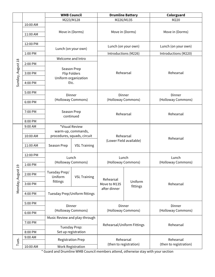|                   |                      | <b>WMB Council</b>                   |                             | <b>Drumline Battery</b>              |                        | Colorguard             |  |
|-------------------|----------------------|--------------------------------------|-----------------------------|--------------------------------------|------------------------|------------------------|--|
|                   |                      | M223/M128                            |                             | M226/M135                            |                        | M220                   |  |
|                   | 10:00 AM<br>11:00 AM | Move in (Dorms)                      |                             | Move in (Dorms)                      |                        | Move in (Dorms)        |  |
|                   | 12:00 PM             | Lunch (on your own)                  |                             |                                      | Lunch (on your own)    | Lunch (on your own)    |  |
|                   | 1:00 PM              |                                      |                             |                                      | Introductions (M226)   | Introductions (M220)   |  |
|                   |                      | Welcome and Intro                    |                             |                                      |                        |                        |  |
|                   | 2:00 PM              | Season Prep                          |                             |                                      |                        |                        |  |
|                   |                      |                                      |                             |                                      |                        |                        |  |
| Sunday, August 18 | 3:00 PM              | <b>Flip Folders</b>                  |                             |                                      | Rehearsal              | Rehearsal              |  |
|                   |                      | Uniform organization<br>Etc.         |                             |                                      |                        |                        |  |
|                   | 4:00 PM              |                                      |                             |                                      |                        |                        |  |
|                   | 5:00 PM              |                                      |                             |                                      |                        |                        |  |
|                   |                      | Dinner                               |                             | Dinner                               |                        | Dinner                 |  |
|                   | 6:00 PM              | (Holloway Commons)                   |                             |                                      | (Holloway Commons)     | (Holloway Commons)     |  |
|                   |                      |                                      |                             | Rehearsal                            |                        |                        |  |
|                   | 7:00 PM              | Season Prep                          |                             |                                      |                        | Rehearsal              |  |
|                   |                      | continued                            |                             |                                      |                        |                        |  |
|                   | 8:00 PM              |                                      |                             |                                      |                        |                        |  |
|                   | 9:00 AM              | *Visual Review<br>warm-up, commands, |                             |                                      |                        |                        |  |
|                   | 10:00 AM             |                                      | procedures, squads, circuit | Rehearsal<br>(Lower Field available) |                        |                        |  |
|                   |                      |                                      |                             |                                      |                        | Rehearsal              |  |
|                   | 11:00 AM             | Season Prep                          | <b>VSL Training</b>         |                                      |                        |                        |  |
|                   |                      |                                      |                             |                                      |                        |                        |  |
|                   | 12:00 PM             | Lunch<br>(Holloway Commons)          |                             | Lunch<br>(Holloway Commons)          |                        | Lunch                  |  |
|                   |                      |                                      |                             |                                      |                        | (Holloway Commons)     |  |
| $\overline{19}$   | 1:00 PM              |                                      |                             |                                      |                        |                        |  |
|                   | 2:00 PM              | Tuesday Prep/                        |                             |                                      | Uniform                |                        |  |
|                   |                      | Uniform                              | <b>VSL Training</b>         | Rehearsal                            |                        |                        |  |
| Monday, August    | 3:00 PM              | fittings                             |                             | Move to M135                         |                        | Rehearsal              |  |
|                   |                      |                                      |                             | after dinner                         | fittings               |                        |  |
|                   | 4:00 PM              | Tuesday Prep/Uniform fittings        |                             |                                      |                        |                        |  |
|                   |                      |                                      |                             |                                      |                        |                        |  |
|                   | 5:00 PM              | Dinner                               |                             |                                      | Dinner                 | Dinner                 |  |
|                   | 6:00 PM              | (Holloway Commons)                   |                             |                                      | (Holloway Commons)     | (Holloway Commons)     |  |
|                   |                      | Music Review and play-through        |                             |                                      |                        |                        |  |
|                   | 7:00 PM              |                                      |                             | Rehearsal/Uniform Fittings           |                        |                        |  |
|                   |                      | Tuesday Prep:                        |                             |                                      |                        | Rehearsal              |  |
|                   | 8:00 PM              | Set up registration                  |                             |                                      |                        |                        |  |
|                   | 9:00 AM              | <b>Registration Prep</b>             |                             |                                      | Rehearsal              | Rehearsal              |  |
| Tues.             |                      |                                      |                             |                                      | (then to registration) | (then to registration) |  |
|                   | 10:00 AM             | <b>Work Registration</b>             |                             |                                      |                        |                        |  |

\* Guard and Drumline WMB Council members attend, otherwise stay with your section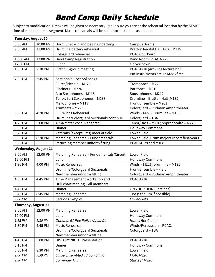# *Band Camp Daily Schedule*

Subject to modification. Breaks will be given as necessary. Make sure you are at the rehearsal location by the START time of each rehearsal segment. Music rehearsals will be split into sectionals as needed.

| <b>Tuesday, August 20</b>   |          |                                           |                                             |
|-----------------------------|----------|-------------------------------------------|---------------------------------------------|
| 8:00 AM                     | 10:00 AM | Dorm Check-in and begin unpacking         | Campus dorms                                |
| 9:00 AM                     | 11:00 AM | Drumline battery rehearsal                | <b>Bratton Recital Hall: PCAC M135</b>      |
|                             |          | Colorguard rehearsal                      | PCAC Courtyard                              |
| 10:00 AM                    | 12:00 PM | <b>Band Camp Registration</b>             | Band Room: PCAC M226                        |
| 12:00 PM                    |          | Lunch                                     | On your own                                 |
| 1:00 PM                     | 2:30 PM  | First full-group meeting                  | PCAC A218 (Art wing lecture hall)           |
|                             |          |                                           | Put instruments etc. in M226 first          |
| 2:30 PM                     | 3:45 PM  | Sectionals - School songs                 |                                             |
|                             |          | Flutes/Piccolo - M128                     | Trombones - M220                            |
|                             |          | Clarinets - M226                          | Baritones - M316                            |
|                             |          | Alto Saxophones - M118                    | Sousaphones - M212                          |
|                             |          | Tenor/Bari Saxophones - M133              | Drumline - Bratton Hall (M135)              |
|                             |          | Mellophones - M119                        | Front Ensemble - M201                       |
|                             |          | Trumpets - M223                           | Colorguard - Rudman Amphitheater            |
| 3:50 PM                     | 4:20 PM  | <b>Full Winds Rehearsal</b>               | Winds - M226; Drumline - M135               |
|                             |          | Drumline/Colorguard Sectionals continue   | Colorguard - TBA                            |
| 4:20 PM                     | 5:00 PM  | Alma Mater Vocal Rehearsal                | Tenor/Bass - M226; Soprano/Alto - M223      |
| 5:00 PM                     |          | Dinner                                    | <b>Holloway Commons</b>                     |
| 6:20 PM                     |          | Veterans (except DMs) meet at field       | Lower Field                                 |
| 6:30 PM                     | 8:30 PM  | Marching Rehearsal - Fundamentals         | Lower Field: Drum majors escort first-years |
| 9:00 PM                     |          | Returning member uniform fitting          | PCAC M128 and M108                          |
| <b>Wednesday, August 21</b> |          |                                           |                                             |
| 9:00 AM                     | 12:00 PM | Marching Rehearsal - Fundamentals/Circuit | Lower Field                                 |
| 12:00 PM                    |          | Lunch                                     | <b>Holloway Commons</b>                     |
| 1:30 PM                     | 4:00 PM  | <b>Music Rehearsal</b>                    | Winds - M226; Drumline - M135               |
|                             |          | Drumline/Colorguard Sectionals            | Front Ensemble - Field                      |
|                             |          | New member uniform fitting                | Colorguard - Rudman Amphitheater            |
| 4:00 PM                     | 4:45 PM  | Time Management Workshop and              | PCAC A218                                   |
|                             |          | Drill chart reading - All members         |                                             |
| 4:45 PM                     |          | Dinner                                    | ON YOUR OWN (Sections)                      |
| 6:45 PM                     | 8:45 PM  | Marching Rehearsal                        | TBA (Stadium if possible)                   |
| 9:00 PM                     |          | <b>Section Olympics</b>                   | Lower Field                                 |
| <b>Thursday, August 22</b>  |          |                                           |                                             |
| 9:00 AM                     | 12:00 PM | Marching Rehearsal                        | Lower Field                                 |
| 12:00 PM                    |          | Lunch                                     | <b>Holloway Commons</b>                     |
| 1:15 PM                     | 1:30 PM  | Optional RA Pep Rally (Winds/DL)          | <b>Hamel Rec Center</b>                     |
| 1:30 PM                     | 4:45 PM  | <b>Music Rehearsal</b>                    | Winds/Percussion - PCAC;                    |
|                             |          | <b>Drumline/Colorguard Sectionals</b>     | Colorguard - TBA                            |
|                             |          | New member uniform fitting                |                                             |
| 4:45 PM                     | 5:00 PM  | <b>HISTORY NIGHT Presentation</b>         | PCAC A218                                   |
| 5:15 PM                     |          | Dinner                                    | <b>Holloway Commons</b>                     |
| 6:30 PM                     | 8:30 PM  | Marching Rehearsal                        | Lower Field                                 |
| 9:00 PM                     | 9:30 PM  | Large Ensemble Audition Clinic            | PCAC M220                                   |
| 9:30 PM                     |          | Scavenger Hunt                            | Starts @ M226                               |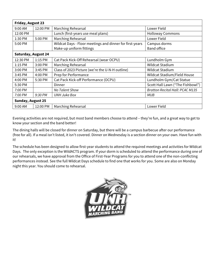| <b>Friday, August 23</b>   |                          |                                                          |                                        |  |  |
|----------------------------|--------------------------|----------------------------------------------------------|----------------------------------------|--|--|
| 9:00 AM                    | 12:00 PM                 | Marching Rehearsal                                       | Lower Field                            |  |  |
| 12:00 PM                   |                          | Lunch (first-years use meal plans)                       | <b>Holloway Commons</b>                |  |  |
| 1:30 PM                    | 5:00 PM                  | Marching Rehearsal                                       | Lower Field                            |  |  |
| 5:00 PM                    |                          | Wildcat Days - Floor meetings and dinner for first-years | Campus dorms                           |  |  |
|                            |                          | Make-up uniform fittings                                 | <b>Band office</b>                     |  |  |
| <b>Saturday, August 24</b> |                          |                                                          |                                        |  |  |
| 12:30 PM                   | 1:15 PM                  | Cat Pack Kick-Off Rehearsal (wear OCPU)                  | Lundholm Gym                           |  |  |
| $1:15$ PM                  | 3:00 PM                  | Marching Rehearsal                                       | <b>Wildcat Stadium</b>                 |  |  |
| 3:00 PM                    | 3:45 PM                  | Class of 2023 Picture (we're the U-N-H outline)          | Wildcat Stadium                        |  |  |
| 3:45 PM                    | 4:00 PM                  | Prep for Performance                                     | Wildcat Stadium/Field House            |  |  |
| 4:00 PM                    | 5:30 PM                  | Cat Pack Kick-off Performance (OCPU)                     | Lundholm Gym/Cat Statue                |  |  |
| 5:30 PM                    |                          | Dinner                                                   | Scott Hall Lawn ("The Fishbowl")       |  |  |
| 7:00 PM                    |                          | No Talent Show                                           | <b>Bratton Recital Hall: PCAC M135</b> |  |  |
| 7:00 PM                    | 9:30 PM                  | <b>UNH Juke Box</b>                                      | MUB                                    |  |  |
|                            | <b>Sunday, August 25</b> |                                                          |                                        |  |  |
| 9:00 AM                    | 12:00 PM                 | Marching Rehearsal                                       | Lower Field                            |  |  |

Evening activities are not required, but most band members choose to attend – they're fun, and a great way to get to know your section and the band better!

The dining halls will be closed for dinner on Saturday, but there will be a campus barbecue after our performance (free for all). If a meal isn't listed, it isn't covered. Dinner on Wednesday is a section dinner on your own. Have fun with it!

The schedule has been designed to allow first-year students to attend the required meetings and activities for Wildcat Days. The only exception is the WildACTS program. If your dorm is scheduled to attend the performance during one of our rehearsals, we have approval from the Office of First-Year Programs for you to attend one of the non-conflicting performances instead. See the full Wildcat Days schedule to find one that works for you. Some are also on Monday night this year. You should come to rehearsal.

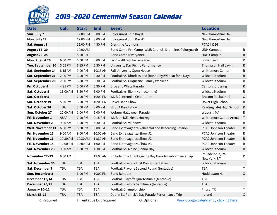

# *2019–2020 Centennial Season Calendar*

| <b>Date</b>         | <b>Call</b> | <b>Start</b> | <b>End</b>                | <b>Event</b>                                           | <b>Location</b>                        |              |
|---------------------|-------------|--------------|---------------------------|--------------------------------------------------------|----------------------------------------|--------------|
| Sun. July 7         |             | 12:00 PM     | 8:00 PM                   | Colorguard Spin Day #1                                 | New Hampshire Hall                     |              |
| Mon. July 29        |             | 12:00 PM     | 8:00 PM                   | Colorguard Spin Day #2                                 | New Hampshire Hall                     |              |
| Sat. August 3       |             | 12:00 PM     | 4:30 PM                   | <b>Drumline Auditions</b>                              | PCAC M226                              |              |
| <b>August 18-20</b> |             | 10:00 AM     |                           | Band Camp Pre-Camp (WMB Council, Drumline, Colorguard) | <b>UNH Campus</b>                      | R            |
| <b>August 20-25</b> |             | 8:00 AM      |                           | <b>Band Camp (Everyone)</b>                            | <b>UNH Campus</b>                      | ${\sf R}$    |
| Mon. August 26      | 6:00 PM     | 6:00 PM      | 8:00 PM                   | First WMB regular rehearsal                            | Lower Field                            | R            |
| Tue. September 10   | 5:55 PM     | 6:15 PM      | 6:30 PM                   | University Day Picnic Performance                      | Thompson Hall Lawn                     | ${\sf R}$    |
| Sat. September 14   | 8:15 AM     | 9:00 AM      | 10:15 AM                  | Fall University Open House                             | Whittemore Center                      | ${\sf R}$    |
| Sat. September 21   | 2:00 PM     | 6:00 PM      | 9:30 PM                   | Football vs. Rhode Island (Band Day/Wildcat for a Day) | <b>Wildcat Stadium</b>                 | ${\sf R}$    |
| Sat. September 28   | 2:00 PM     | 6:00 PM      | 9:30 PM                   | Football vs. Duquesne (Family Weekend)                 | Wildcat Stadium                        | R            |
| Fri. October 4      | 4:25 PM     | 5:00 PM      | 5:30 PM                   | <b>Blue and White Parade</b>                           | <b>Campus Crossing</b>                 | R            |
| Sat. October 5      | 11:00 AM    | 3:30 PM      | 7:00 PM                   | Football vs. Elon (Homecoming)                         | Wildcat Stadium                        | ${\sf R}$    |
| Sat. October 5      |             | 7:00 PM      | 10:00 PM                  | <b>WMB Centennial Celebration</b>                      | <b>Bratton Recital Hall</b>            | $\circ$      |
| Sat. October 19     | 5:30 PM     | 6:00 PM      | 10:00 PM                  | Dover Band Show                                        | Dover High School                      | $\mathsf{R}$ |
| Sat. October 26     | <b>TBA</b>  | 3:00 PM      | 8:00 PM                   | <b>NESBA Band Show</b>                                 | Reading (MA) High School               | ${\sf R}$    |
| Sun. October 27     | 10:00 AM    | 1:00 PM      | 5:00 PM                   | Woburn Halloween Parade                                | Woburn, MA                             | R            |
| Fri. November 1     | <b>ASAP</b> | 7:00 PM      | 9:15 PM                   | WMB on ICE (Men's Hockey)                              | Whittemore Center Arena                | $\mathsf T$  |
| Sat. November 2     | 9:00 AM     | 1:00 PM      | 4:30 PM                   | Football vs. Villanova                                 | Wildcat Stadium                        | ${\sf R}$    |
| Wed. November 13    | 6:00 PM     | 6:00 PM      | 9:00 PM                   | Band Extravaganza Rehearsal and Recording Session      | PCAC Johnson Theater                   | R            |
| Fri. November 15    | 9:00 AM     | 9:00 AM      | 10:00 AM                  | Band Extravaganza Show #1                              | PCAC Johnson Theater                   | ${\sf R}$    |
| Fri. November 15    | 10:30 AM    | 10:30 AM     | 11:30 AM                  | Band Extravaganza Show #2                              | PCAC Johnson Theater                   | R            |
| Fri. November 15    | 12:00 PM    | 12:00 PM     | 1:00 PM                   | Band Extravaganza Show #3                              | <b>PCAC Johnson Theater</b>            | R            |
| Sat. November 23    | 9:00 AM     | 1:00 PM      | 4:30 PM                   | Football vs. Maine (Senior Day)                        | <b>Wildcat Stadium</b>                 | ${\sf R}$    |
| November 27–29      | 6:30 AM     |              | 12:00 AM                  | Philadelphia Thanksgiving Day Parade Performance Trip  | Philadelphia, PA<br>New York, NY       | R            |
| Sat. November 30    | <b>TBA</b>  | <b>TBA</b>   | <b>TBA</b>                | Football Playoffs First Round (tentative)              | Wildcat Stadium                        | $\sf T$      |
| Sat. December 7     | <b>TBA</b>  | <b>TBA</b>   | <b>TBA</b>                | Football Playoffs Second Round (tentative)             | <b>TBA</b>                             | Τ            |
| Sun. December 8     |             | 6:00 PM      | 10:00 PM                  | <b>Band Banquet</b>                                    | <b>Huddleston Hall</b>                 | $\mathsf O$  |
| December 13/14      | <b>TBA</b>  | <b>TBA</b>   | <b>TBA</b>                | Football Playoffs Quarterfinals (tentative)            | <b>TBA</b>                             | T            |
| December 20/21      | <b>TBA</b>  | <b>TBA</b>   | <b>TBA</b>                | Football Playoffs Semifinals (tentative)               | <b>TBA</b>                             | T            |
| January 10-12       | <b>TBA</b>  | <b>TBA</b>   | <b>TBA</b>                | Football Championship                                  | Frisco, TX                             | $\mathsf T$  |
| <b>March 15-19</b>  | <b>TBA</b>  | <b>TBA</b>   | <b>TBA</b>                | Dublin St. Patrick's Day Parade Performance Trip       | Ireland                                | $\circ$      |
| R: Required         |             |              | T: Tentative but required | O: Optional                                            | View Google calendar by clicking here. |              |